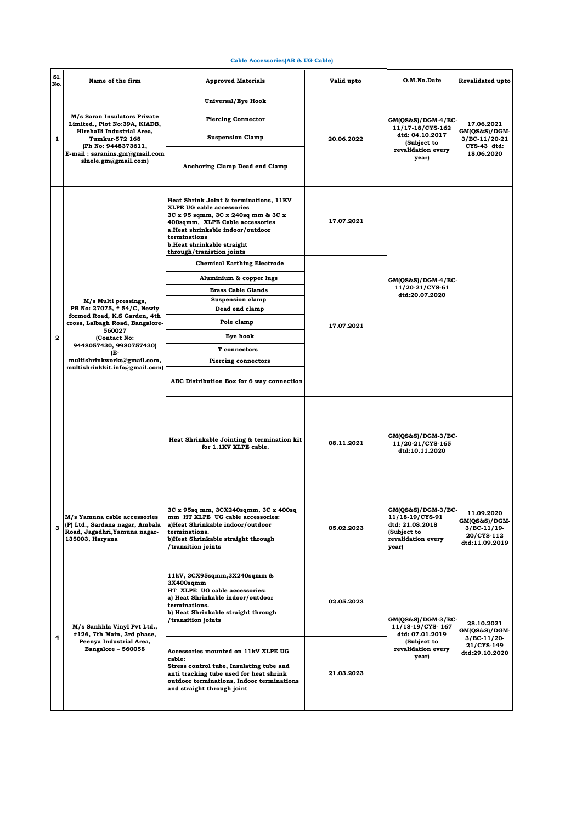## **Cable Accessories(AB & UG Cable)**

| Sl.<br>No.   | Name of the firm                                                                                                                                                                              | <b>Approved Materials</b>                                                                                                                                                                                                                                          | Valid upto | O.M.No.Date                                                                                              | Revalidated upto                                                           |
|--------------|-----------------------------------------------------------------------------------------------------------------------------------------------------------------------------------------------|--------------------------------------------------------------------------------------------------------------------------------------------------------------------------------------------------------------------------------------------------------------------|------------|----------------------------------------------------------------------------------------------------------|----------------------------------------------------------------------------|
| $\mathbf{1}$ | M/s Saran Insulators Private<br>Limited., Plot No:39A, KIADB,<br>Hirehalli Industrial Area,<br>Tumkur-572 168<br>(Ph No: 9448373611,<br>E-mail: saranins.gm@gmail.com<br>slnele.gm@gmail.com) | Universal/Eye Hook                                                                                                                                                                                                                                                 | 20.06.2022 | $GM(QS&S)/DGM-4/BC$<br>11/17-18/CYS-162<br>dtd: 04.10.2017<br>(Subject to<br>revalidation every<br>year) | 17.06.2021<br>GM(QS&S)/DGM-<br>3/BC-11/20-21<br>CYS-43 dtd:<br>18.06.2020  |
|              |                                                                                                                                                                                               | <b>Piercing Connector</b>                                                                                                                                                                                                                                          |            |                                                                                                          |                                                                            |
|              |                                                                                                                                                                                               | <b>Suspension Clamp</b>                                                                                                                                                                                                                                            |            |                                                                                                          |                                                                            |
|              |                                                                                                                                                                                               | Anchoring Clamp Dead end Clamp                                                                                                                                                                                                                                     |            |                                                                                                          |                                                                            |
|              |                                                                                                                                                                                               | Heat Shrink Joint & terminations, 11KV<br><b>XLPE UG cable accessories</b><br>3C x 95 sqmm, 3C x 240sq mm & 3C x<br>400sqmm, XLPE Cable accessories<br>a.Heat shrinkable indoor/outdoor<br>terminations<br>b.Heat shrinkable straight<br>through/tranistion joints | 17.07.2021 | $GM(QS&S)/DGM-4/BC$<br>11/20-21/CYS-61<br>dtd:20.07.2020                                                 |                                                                            |
|              |                                                                                                                                                                                               | <b>Chemical Earthing Electrode</b>                                                                                                                                                                                                                                 |            |                                                                                                          |                                                                            |
|              |                                                                                                                                                                                               | Aluminium & copper lugs                                                                                                                                                                                                                                            |            |                                                                                                          |                                                                            |
|              |                                                                                                                                                                                               | <b>Brass Cable Glands</b>                                                                                                                                                                                                                                          |            |                                                                                                          |                                                                            |
|              | M/s Multi pressings,<br>PB No: 27075, #54/C, Newly                                                                                                                                            | <b>Suspension clamp</b><br>Dead end clamp                                                                                                                                                                                                                          |            |                                                                                                          |                                                                            |
|              | formed Road, K.S Garden, 4th<br>cross, Lalbagh Road, Bangalore-                                                                                                                               | Pole clamp                                                                                                                                                                                                                                                         |            |                                                                                                          |                                                                            |
| $\mathbf{2}$ | 560027                                                                                                                                                                                        | Eye hook                                                                                                                                                                                                                                                           | 17.07.2021 |                                                                                                          |                                                                            |
|              | (Contact No:<br>9448057430, 9980757430)<br>(E-<br>multishrinkworks@gmail.com,<br>multishrinkkit.info@gmail.com)                                                                               | T connectors                                                                                                                                                                                                                                                       |            |                                                                                                          |                                                                            |
|              |                                                                                                                                                                                               | <b>Piercing connectors</b>                                                                                                                                                                                                                                         |            |                                                                                                          |                                                                            |
|              |                                                                                                                                                                                               | ABC Distribution Box for 6 way connection                                                                                                                                                                                                                          |            |                                                                                                          |                                                                            |
|              |                                                                                                                                                                                               | Heat Shrinkable Jointing & termination kit<br>for 1.1KV XLPE cable.                                                                                                                                                                                                | 08.11.2021 | GM(QS&S)/DGM-3/BC-<br>11/20-21/CYS-165<br>dtd:10.11.2020                                                 |                                                                            |
| 3            | M/s Yamuna cable accessories<br>(P) Ltd., Sardana nagar, Ambala<br>Road, Jagadhri, Yamuna nagar-<br>135003, Haryana                                                                           | 3C x 95sq mm, 3CX240sqmm, 3C x 400sq<br>mm HT XLPE UG cable accessories:<br>a)Heat Shrinkable indoor/outdoor<br>terminations.<br>b)Heat Shrinkable straight through<br>/transition joints                                                                          | 05.02.2023 | $GM(QS&S)/DGM-3/BC$<br>11/18-19/CYS-91<br>dtd: 21.08.2018<br>(Subject to<br>revalidation every<br>year)  | 11.09.2020<br>GM(QS&S)/DGM-<br>3/BC-11/19-<br>20/CYS-112<br>dtd:11.09.2019 |
| 4            | M/s Sankhla Vinyl Pvt Ltd.,<br>#126, 7th Main, 3rd phase,<br>Peenya Industrial Area,<br><b>Bangalore - 560058</b>                                                                             | 11kV, 3CX95sqmm, 3X240sqmm &<br>3X400sqmm<br>HT XLPE UG cable accessories:<br>a) Heat Shrinkable indoor/outdoor<br>terminations.<br>b) Heat Shrinkable straight through<br>/transition joints                                                                      | 02.05.2023 | GM(QS&S)/DGM-3/BC-<br>11/18-19/CYS-167<br>dtd: 07.01.2019<br>(Subject to<br>revalidation every<br>year)  | 28.10.2021<br>GM(QS&S)/DGM-<br>3/BC-11/20-<br>21/CYS-149<br>dtd:29.10.2020 |
|              |                                                                                                                                                                                               | Accessories mounted on 11kV XLPE UG<br>cable:<br>Stress control tube, Insulating tube and<br>anti tracking tube used for heat shrink<br>outdoor terminations, Indoor terminations<br>and straight through joint                                                    | 21.03.2023 |                                                                                                          |                                                                            |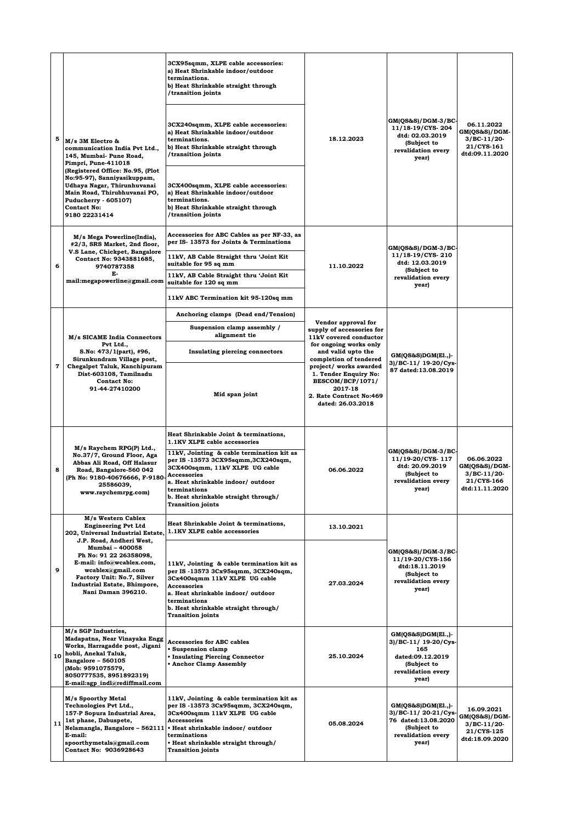| 5  | M/s 3M Electro &<br>communication India Pvt Ltd.,<br>145, Mumbai- Pune Road,<br>Pimpri, Pune-411018<br>(Registered Office: No.95, (Plot<br>No:95-97), Sanniyasikuppam,<br>Udhaya Nagar, Thirunhuvanai<br>Main Road, Thirubhuvanai PO,<br>Puducherry - 605107)<br><b>Contact No:</b><br>9180 22231414        | 3CX95sqmm, XLPE cable accessories:<br>a) Heat Shrinkable indoor/outdoor<br>terminations.<br>b) Heat Shrinkable straight through<br>/transition joints<br>3CX240sqmm, XLPE cable accessories:<br>a) Heat Shrinkable indoor/outdoor<br>terminations.<br>b) Heat Shrinkable straight through<br>transition joints/<br>3CX400sqmm, XLPE cable accessories:<br>a) Heat Shrinkable indoor/outdoor<br>terminations.<br>b) Heat Shrinkable straight through<br>/transition joints | 18.12.2023                                                                                                                     | GM(QS&S)/DGM-3/BC<br>11/18-19/CYS-204<br>dtd: 02.03.2019<br>(Subject to<br>revalidation every<br>year)                 | 06.11.2022<br>GM(QS&S)/DGM-<br>3/BC-11/20-<br>21/CYS-161<br>dtd:09.11.2020  |
|----|-------------------------------------------------------------------------------------------------------------------------------------------------------------------------------------------------------------------------------------------------------------------------------------------------------------|---------------------------------------------------------------------------------------------------------------------------------------------------------------------------------------------------------------------------------------------------------------------------------------------------------------------------------------------------------------------------------------------------------------------------------------------------------------------------|--------------------------------------------------------------------------------------------------------------------------------|------------------------------------------------------------------------------------------------------------------------|-----------------------------------------------------------------------------|
| 6  | M/s Mega Powerline(India),<br>#2/3, SRS Market, 2nd floor,<br>V.S Lane, Chickpet, Bangalore<br>Contact No: 9343881685,<br>9740787358<br>Е-<br>mail:megapowerline@gmail.com                                                                                                                                  | Accessories for ABC Cables as per NF-33, as<br>per IS-13573 for Joints & Terminations<br>11kV, AB Cable Straight thru 'Joint Kit<br>suitable for 95 sq mm<br>11kV, AB Cable Straight thru 'Joint Kit<br>suitable for 120 sq mm                                                                                                                                                                                                                                            | 11.10.2022                                                                                                                     | GM(QS&S)/DGM-3/BC-<br>11/18-19/CYS-210<br>dtd: 12.03.2019<br>(Subject to<br>revalidation every<br>year)                |                                                                             |
|    |                                                                                                                                                                                                                                                                                                             | 11kV ABC Termination kit 95-120sq mm<br>Anchoring clamps (Dead end/Tension)                                                                                                                                                                                                                                                                                                                                                                                               |                                                                                                                                |                                                                                                                        |                                                                             |
|    | M/s SICAME India Connectors                                                                                                                                                                                                                                                                                 | Suspension clamp assembly /<br>alignment tie                                                                                                                                                                                                                                                                                                                                                                                                                              | Vendor approval for<br>supply of accessories for<br>11kV covered conductor                                                     | $GM(QS&S)DGM(E1.,)$ -<br>3)/BC-11/ 19-20/Cys-<br>87 dated:13.08.2019                                                   |                                                                             |
|    | Pvt Ltd.,<br>S.No: 473/1(part), #96,<br>Sirunkundram Village post,<br>Chegalpet Taluk, Kanchipuram<br>Dist-603108, Tamilnadu<br><b>Contact No:</b><br>91-44-27410200                                                                                                                                        | Insulating piercing connectors                                                                                                                                                                                                                                                                                                                                                                                                                                            | for ongoing works only<br>and valid upto the<br>completion of tendered                                                         |                                                                                                                        |                                                                             |
| 7  |                                                                                                                                                                                                                                                                                                             | Mid span joint                                                                                                                                                                                                                                                                                                                                                                                                                                                            | project/ works awarded<br>1. Tender Enquiry No:<br>BESCOM/BCP/1071/<br>2017-18<br>2. Rate Contract No:469<br>dated: 26.03.2018 |                                                                                                                        |                                                                             |
|    |                                                                                                                                                                                                                                                                                                             | Heat Shrinkable Joint & terminations,<br>1.1KV XLPE cable accessories                                                                                                                                                                                                                                                                                                                                                                                                     |                                                                                                                                |                                                                                                                        |                                                                             |
| 8  | M/s Raychem RPG(P) Ltd.,<br>No.37/7, Ground Floor, Aga<br>Abbas Ali Road, Off Halasur<br>Road, Bangalore-560 042<br>(Ph No: 9180-40676666, F-9180-<br>25586039,<br>www.raychemrpg.com)                                                                                                                      | 11kV, Jointing & cable termination kit as<br>per IS -13573 3CX95sqmm, 3CX240sqm,<br>3CX400sqmm, 11kV XLPE UG cable<br><b>Accessories</b><br>a. Heat shrinkable indoor/ outdoor<br>terminations<br>b. Heat shrinkable straight through/<br><b>Transition joints</b>                                                                                                                                                                                                        | 06.06.2022                                                                                                                     | $GM(QS&S)/DGM-3/BC$<br>11/19-20/CYS-117<br>dtd: 20.09.2019<br>(Subject to<br>revalidation every<br>year)               | 06.06.2022<br>GM(QS&S)/DGM-<br>$3/BC-11/20$<br>21/CYS-166<br>dtd:11.11.2020 |
|    | M/s Western Cablex<br><b>Engineering Pvt Ltd</b><br>202, Universal Industrial Estate,<br>J.P. Road, Andheri West,<br><b>Mumbai - 400058</b><br>Ph No: 91 22 26358098,<br>E-mail: info@wcablex.com,<br>wcablex@gmail.com<br>Factory Unit: No.7, Silver<br>Industrial Estate, Bhimpore,<br>Nani Daman 396210. | Heat Shrinkable Joint & terminations,<br>1.1KV XLPE cable accessories                                                                                                                                                                                                                                                                                                                                                                                                     | 13.10.2021                                                                                                                     |                                                                                                                        |                                                                             |
| 9  |                                                                                                                                                                                                                                                                                                             | 11kV, Jointing & cable termination kit as<br>per IS -13573 3Cx95sqmm, 3CX240sqm,<br>3Cx400sqmm 11kV XLPE UG cable<br>Accessories<br>a. Heat shrinkable indoor/outdoor<br>terminations<br>b. Heat shrinkable straight through/<br><b>Transition joints</b>                                                                                                                                                                                                                 | 27.03.2024                                                                                                                     | GM(QS&S)/DGM-3/BC-<br>11/19-20/CYS-156<br>dtd:18.11.2019<br>(Subject to<br>revalidation every<br>year)                 |                                                                             |
| 10 | M/s SGP Industries,<br>Madapatna, Near Vinayaka Engg<br>Works, Harragadde post, Jigani<br>hobli, Anekal Taluk,<br>Bangalore - 560105<br>(Mob: 9591075579,<br>8050777535, 8951892319)<br>E-mail:sgp_indl@rediffmail.com                                                                                      | <b>Accessories for ABC cables</b><br>• Suspension clamp<br><b>• Insulating Piercing Connector</b><br><b>Anchor Clamp Assembly</b>                                                                                                                                                                                                                                                                                                                                         | 25.10.2024                                                                                                                     | $GM(QS&S)DGM(E1.,)$ -<br>3)/BC-11/ 19-20/Cys-<br>165<br>dated:09.12.2019<br>(Subject to<br>revalidation every<br>year) |                                                                             |
| 11 | M/s Spoorthy Metal<br>Technologies Pvt Ltd.,<br>157-P Sopura Industrial Area,<br>1st phase, Dabuspete,<br>E-mail:<br>spoorthymetals@gmail.com<br>Contact No: 9036928643                                                                                                                                     | 11kV, Jointing & cable termination kit as<br>per IS -13573 3Cx95sqmm, 3CX240sqm,<br>3Cx400sqmm 11kV XLPE UG cable<br><b>Accessories</b><br>Nelamangla, Bangalore - 562111 . Heat shrinkable indoor/ outdoor<br>terminations<br>• Heat shrinkable straight through/<br><b>Transition joints</b>                                                                                                                                                                            | 05.08.2024                                                                                                                     | $GM(QS&S)DGM(El.,)$ -<br>3)/BC-11/20-21/Cys<br>76 dated:13.08.2020<br>(Subject to<br>revalidation every<br>year)       | 16.09.2021<br>GM(QS&S)/DGM-<br>3/BC-11/20-<br>21/CYS-125<br>dtd:18.09.2020  |